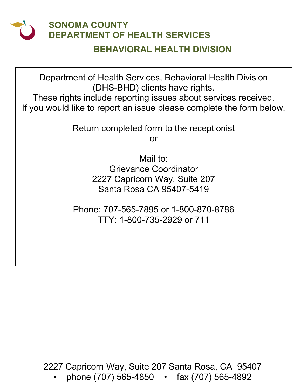

### **SONOMA COUNTY DEPARTMENT OF HEALTH SERVICES**

#### **BEHAVIORAL HEALTH DIVISION**

Department of Health Services, Behavioral Health Division (DHS-BHD) clients have rights.

These rights include reporting issues about services received. If you would like to report an issue please complete the form below.

Return completed form to the receptionist

or

Mail to: Grievance Coordinator 2227 Capricorn Way, Suite 207 Santa Rosa CA 95407-5419

Phone: 707-565-7895 or 1-800-870-8786 TTY: 1-800-735-2929 or 711

2227 Capricorn Way, Suite 207 Santa Rosa, CA 95407 • phone (707) 565-4850 • fax (707) 565-4892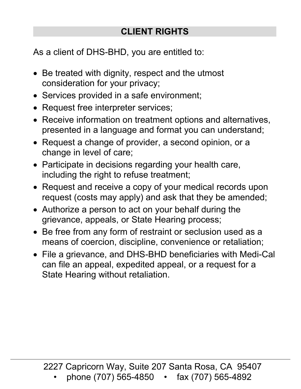# **CLIENT RIGHTS**

As a client of DHS-BHD, you are entitled to:

- Be treated with dignity, respect and the utmost consideration for your privacy;
- Services provided in a safe environment;
- Request free interpreter services;
- Receive information on treatment options and alternatives, presented in a language and format you can understand;
- Request a change of provider, a second opinion, or a change in level of care;
- Participate in decisions regarding your health care, including the right to refuse treatment;
- Request and receive a copy of your medical records upon request (costs may apply) and ask that they be amended;
- Authorize a person to act on your behalf during the grievance, appeals, or State Hearing process;
- Be free from any form of restraint or seclusion used as a means of coercion, discipline, convenience or retaliation;
- File a grievance, and DHS-BHD beneficiaries with Medi-Cal can file an appeal, expedited appeal, or a request for a State Hearing without retaliation.

2227 Capricorn Way, Suite 207 Santa Rosa, CA 95407

• phone (707) 565-4850 • fax (707) 565-4892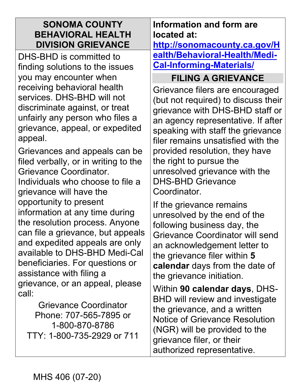#### **SONOMA COUNTY BEHAVIORAL HEALTH DIVISION GRIEVANCE**

DHS-BHD is committed to finding solutions to the issues you may encounter when receiving behavioral health services. DHS-BHD will not discriminate against, or treat unfairly any person who files a grievance, appeal, or expedited appeal.

Grievances and appeals can be filed verbally, or in writing to the Grievance Coordinator. Individuals who choose to file a grievance will have the opportunity to present information at any time during the resolution process. Anyone can file a grievance, but appeals and expedited appeals are only available to DHS-BHD Medi-Cal beneficiaries. For questions or assistance with filing a grievance, or an appeal, please call:

Grievance Coordinator Phone: 707-565-7895 or 1-800-870-8786 TTY: 1-800-735-2929 or 711

## **Information and form are located at:**

**[http://sonomacounty.ca.gov/H](http://sonomacounty.ca.gov/Health/Behavioral-Health/Medi-Cal-Informing-Materials/) ea [lth/Behavioral-Health/Medi-](http://sonomacounty.ca.gov/Health/Behavioral-Health/Medi-Cal-Informing-Materials/)C [al-Informing-Materials/](http://sonomacounty.ca.gov/Health/Behavioral-Health/Medi-Cal-Informing-Materials/)** 

# **FILING A GRIEVANCE**

Grievance filers are encouraged (but not required) to discuss their grievance with DHS-BHD staff or an agency representative. If after speaking with staff the grievance filer remains unsatisfied with the provided resolution, they have the right to pursue the unresolved grievance with the DHS-BHD Grievance Coordinator.

If the grievance remains unresolved by the end of the following business day, the Grievance Coordinator will send an acknowledgement letter to the grievance filer within **5 calendar** days from the date of the grievance initiation.

Within **90 calendar days**, DHS-BHD will review and investigate the grievance, and a written Notice of Grievance Resolution (NGR) will be provided to the grievance filer, or their authorized representative.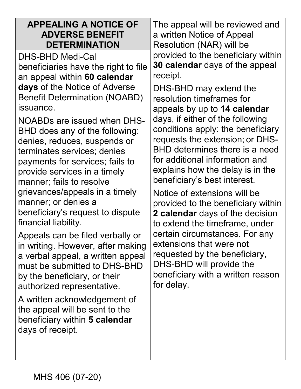| <b>APPEALING A NOTICE OF</b><br><b>ADVERSE BENEFIT</b><br><b>DETERMINATION</b><br>DHS-BHD Medi-Cal<br>beneficiaries have the right to file<br>an appeal within 60 calendar<br>days of the Notice of Adverse<br><b>Benefit Determination (NOABD)</b><br>issuance.<br>NOABDs are issued when DHS-<br>BHD does any of the following:<br>denies, reduces, suspends or<br>terminates services; denies<br>payments for services; fails to<br>provide services in a timely<br>manner; fails to resolve<br>grievances/appeals in a timely<br>manner; or denies a<br>beneficiary's request to dispute<br>financial liability.<br>Appeals can be filed verbally or<br>in writing. However, after making<br>a verbal appeal, a written appeal<br>must be submitted to DHS-BHD<br>by the beneficiary, or their<br>authorized representative.<br>A written acknowledgement of<br>the appeal will be sent to the<br>beneficiary within 5 calendar<br>days of receipt. | The appeal will be reviewed and<br>a written Notice of Appeal<br>Resolution (NAR) will be<br>provided to the beneficiary within<br>30 calendar days of the appeal<br>receipt.<br>DHS-BHD may extend the<br>resolution timeframes for<br>appeals by up to 14 calendar<br>days, if either of the following<br>conditions apply: the beneficiary<br>requests the extension; or DHS-<br><b>BHD determines there is a need</b><br>for additional information and<br>explains how the delay is in the<br>beneficiary's best interest.<br>Notice of extensions will be<br>provided to the beneficiary within<br>2 calendar days of the decision<br>to extend the timeframe, under<br>certain circumstances. For any<br>extensions that were not<br>requested by the beneficiary,<br>DHS-BHD will provide the<br>beneficiary with a written reason<br>for delay. |
|---------------------------------------------------------------------------------------------------------------------------------------------------------------------------------------------------------------------------------------------------------------------------------------------------------------------------------------------------------------------------------------------------------------------------------------------------------------------------------------------------------------------------------------------------------------------------------------------------------------------------------------------------------------------------------------------------------------------------------------------------------------------------------------------------------------------------------------------------------------------------------------------------------------------------------------------------------|----------------------------------------------------------------------------------------------------------------------------------------------------------------------------------------------------------------------------------------------------------------------------------------------------------------------------------------------------------------------------------------------------------------------------------------------------------------------------------------------------------------------------------------------------------------------------------------------------------------------------------------------------------------------------------------------------------------------------------------------------------------------------------------------------------------------------------------------------------|
|                                                                                                                                                                                                                                                                                                                                                                                                                                                                                                                                                                                                                                                                                                                                                                                                                                                                                                                                                         |                                                                                                                                                                                                                                                                                                                                                                                                                                                                                                                                                                                                                                                                                                                                                                                                                                                          |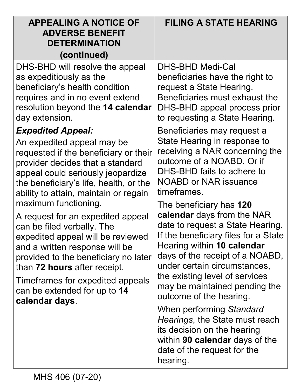| <b>APPEALING A NOTICE OF</b><br><b>ADVERSE BENEFIT</b><br><b>DETERMINATION</b><br>(continued)                                                                                                                                                                                                                                                                                                                                                                                                                                                                             | <b>FILING A STATE HEARING</b>                                                                                                                                                                                                                                                                                                    |
|---------------------------------------------------------------------------------------------------------------------------------------------------------------------------------------------------------------------------------------------------------------------------------------------------------------------------------------------------------------------------------------------------------------------------------------------------------------------------------------------------------------------------------------------------------------------------|----------------------------------------------------------------------------------------------------------------------------------------------------------------------------------------------------------------------------------------------------------------------------------------------------------------------------------|
| DHS-BHD will resolve the appeal<br>as expeditiously as the<br>beneficiary's health condition<br>requires and in no event extend<br>resolution beyond the 14 calendar<br>day extension.                                                                                                                                                                                                                                                                                                                                                                                    | DHS-BHD Medi-Cal<br>beneficiaries have the right to<br>request a State Hearing.<br>Beneficiaries must exhaust the<br>DHS-BHD appeal process prior<br>to requesting a State Hearing.                                                                                                                                              |
| <b>Expedited Appeal:</b><br>An expedited appeal may be<br>requested if the beneficiary or their<br>provider decides that a standard<br>appeal could seriously jeopardize<br>the beneficiary's life, health, or the<br>ability to attain, maintain or regain<br>maximum functioning.<br>A request for an expedited appeal<br>can be filed verbally. The<br>expedited appeal will be reviewed<br>and a written response will be<br>provided to the beneficiary no later<br>than 72 hours after receipt.<br>Timeframes for expedited appeals<br>can be extended for up to 14 | Beneficiaries may request a<br>State Hearing in response to<br>receiving a NAR concerning the<br>outcome of a NOABD. Or if<br>DHS-BHD fails to adhere to<br><b>NOABD or NAR issuance</b><br>timeframes.                                                                                                                          |
|                                                                                                                                                                                                                                                                                                                                                                                                                                                                                                                                                                           | The beneficiary has 120<br>calendar days from the NAR<br>date to request a State Hearing.<br>If the beneficiary files for a State<br>Hearing within 10 calendar<br>days of the receipt of a NOABD,<br>under certain circumstances,<br>the existing level of services<br>may be maintained pending the<br>outcome of the hearing. |
| calendar days.                                                                                                                                                                                                                                                                                                                                                                                                                                                                                                                                                            | When performing Standard<br>Hearings, the State must reach<br>its decision on the hearing<br>within 90 calendar days of the<br>date of the request for the<br>hearing.                                                                                                                                                           |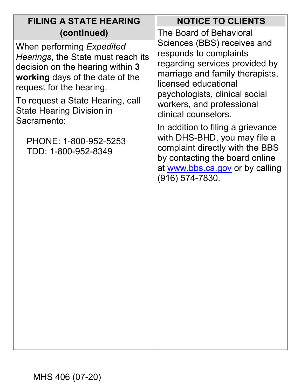| <b>FILING A STATE HEARING</b>                                                                                                                                                                                                                                                                             | <b>NOTICE TO CLIENTS</b>                                                                                                                                                                                                                                                                                                                                                                                                                      |
|-----------------------------------------------------------------------------------------------------------------------------------------------------------------------------------------------------------------------------------------------------------------------------------------------------------|-----------------------------------------------------------------------------------------------------------------------------------------------------------------------------------------------------------------------------------------------------------------------------------------------------------------------------------------------------------------------------------------------------------------------------------------------|
| (continued)                                                                                                                                                                                                                                                                                               | The Board of Behavioral                                                                                                                                                                                                                                                                                                                                                                                                                       |
| When performing Expedited<br>Hearings, the State must reach its<br>decision on the hearing within 3<br>working days of the date of the<br>request for the hearing.<br>To request a State Hearing, call<br><b>State Hearing Division in</b><br>Sacramento:<br>PHONE: 1-800-952-5253<br>TDD: 1-800-952-8349 | Sciences (BBS) receives and<br>responds to complaints<br>regarding services provided by<br>marriage and family therapists,<br>licensed educational<br>psychologists, clinical social<br>workers, and professional<br>clinical counselors.<br>In addition to filing a grievance<br>with DHS-BHD, you may file a<br>complaint directly with the BBS<br>by contacting the board online<br>at www.bbs.ca.gov or by calling<br>$(916) 574 - 7830.$ |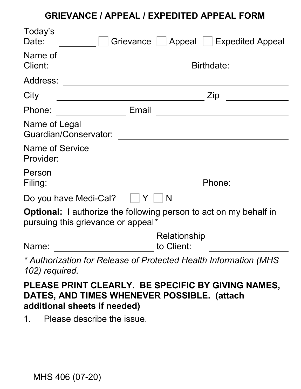#### **GRIEVANCE / APPEAL / EXPEDITED APPEAL FORM**

| Today's<br>Date:             | Grievance<br>Appeal<br><b>Expedited Appeal</b>                                                                 |
|------------------------------|----------------------------------------------------------------------------------------------------------------|
| Name of<br>Client:           | Birthdate:                                                                                                     |
| Address:                     |                                                                                                                |
| City                         | Zip                                                                                                            |
| Phone:                       | Email                                                                                                          |
| Name of Legal                | <b>Guardian/Conservator:</b>                                                                                   |
| Name of Service<br>Provider: |                                                                                                                |
| Person<br>Filing:            | Phone:                                                                                                         |
|                              | N<br>Do you have Medi-Cal?<br>Y                                                                                |
|                              | <b>Optional:</b> I authorize the following person to act on my behalf in<br>pursuing this grievance or appeal* |
| Name:                        | Relationship<br>to Client:                                                                                     |
| 102) required.               | * Authorization for Release of Protected Health Information (MHS                                               |

## **PLEASE PRINT CLEARLY. BE SPECIFIC BY GIVING NAMES, DATES, AND TIMES WHENEVER POSSIBLE. (attach additional sheets if needed)**

1. Please describe the issue.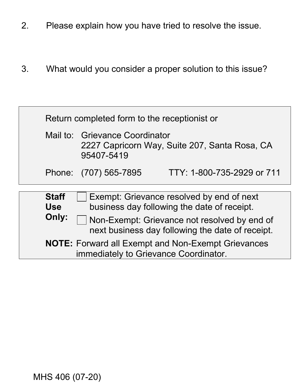- 2. Please explain how you have tried to resolve the issue.
- 3. What would you consider a proper solution to this issue?

| Return completed form to the receptionist or                                                              |                                                                                               |                            |
|-----------------------------------------------------------------------------------------------------------|-----------------------------------------------------------------------------------------------|----------------------------|
|                                                                                                           | Mail to: Grievance Coordinator<br>2227 Capricorn Way, Suite 207, Santa Rosa, CA<br>95407-5419 |                            |
|                                                                                                           | Phone: (707) 565-7895                                                                         | TTY: 1-800-735-2929 or 711 |
|                                                                                                           |                                                                                               |                            |
| <b>Staff</b><br><b>Use</b>                                                                                | Exempt: Grievance resolved by end of next<br>business day following the date of receipt.      |                            |
| Only:<br>Non-Exempt: Grievance not resolved by end of<br>next business day following the date of receipt. |                                                                                               |                            |
| <b>NOTE:</b> Forward all Exempt and Non-Exempt Grievances<br>immediately to Grievance Coordinator.        |                                                                                               |                            |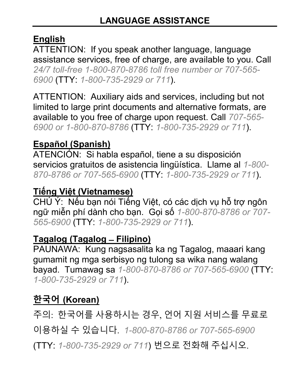# **English**

ATTENTION: If you speak another language, language assistance services, free of charge, are available to you. Call *24/7 toll-free 1-800-870-8786 toll free number or 707-565- 6900* (TTY: *1-800-735-2929 or 711*).

ATTENTION: Auxiliary aids and services, including but not limited to large print documents and alternative formats, are available to you free of charge upon request. Call *707-565- 6900 or 1-800-870-8786* (TTY: *1-800-735-2929 or 711*).

## **Español (Spanish)**

ATENCIÓN: Si habla español, tiene a su disposición servicios gratuitos de asistencia lingüística. Llame al *1-800- 870-8786 or 707-565-6900* (TTY: *1-800-735-2929 or 711*).

# **Tiếng Việt (Vietnamese)**

 CHÚ Ý: Nếu bạn nói Tiếng Việt, có các dịch vụ hỗ trợ ngôn ngữ miễn phí dành cho bạn. Gọi số *1-800-870-8786 or 707- 565-6900* (TTY: *1-800-735-2929 or 711*).

## **Tagalog (Tagalog ̶Filipino)**

PAUNAWA: Kung nagsasalita ka ng Tagalog, maaari kang gumamit ng mga serbisyo ng tulong sa wika nang walang bayad. Tumawag sa *1-800-870-8786 or 707-565-6900* (TTY: *1-800-735-2929 or 711*).

# **한국어 (Korean)**

 주의: 한국어를 사용하시는 경우, 언어 지원 서비스를 무료로 이용하실 수 있습니다. *1-800-870-8786 or 707-565-6900*  (TTY: *1-800-735-2929 or 711*) 번으로 전화해 주십시오.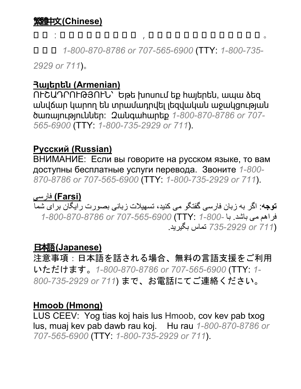#### 繁體中文**(Chinese)**

# 注 注 :注 注 注 注 注 注 注 注 注 ,注 注 注 注 注 注 注 注 注 注 注 注 注 。

注注注 *1-800-870-8786 or 707-565-6900* (TTY: *1-800-735-*

*2929 or 711*)。

#### **Հայերեն (Armenian)**

ՈՒՇԱԴՐՈՒԹՅՈՒՆ՝ Եթե խոսում եք հայերեն, ապա ձեզ անվճար կարող են տրամադրվել լեզվական աջակցության ծառայություններ: Զանգահարեք *1-800-870-8786 or 707- 565-6900* (TTY: *1-800-735-2929 or 711*).

#### **Русский (Russian)**

 доступны бесплатные услуги перевода. Звоните *1-800-* ВНИМАНИЕ: Если вы говорите на русском языке, то вам *870-8786 or 707-565-6900* (TTY: *1-800-735-2929 or 711*).

#### **(Farsi (**فار یس

 ارف ھم اشبیم د. اب *1-800-* :TTY(*707-565-6900 or 1-800-870-8786* <mark>توجه</mark>: اگر به زبان فارسی گفتگو می کنید، تسهیلات زبانی بصورت رایگان برای شما (71*1 or 72929-735-تم*اس بگیرید.

## 日本語 **(Japanese)**

注意事項:日本語を話される場合、無料の言語支援をご利用 いただけます。*1-800-870-8786 or 707-565-6900* (TTY: *1- 800-735-2929 or 711*) まで、お電話にてご連絡ください。

#### **Hmoob (Hmong)**

LUS CEEV: Yog tias koj hais lus Hmoob, cov kev pab txog lus, muaj kev pab dawb rau koj. Hu rau *1-800-870-8786 or 707-565-6900* (TTY: *1-800-735-2929 or 711*).